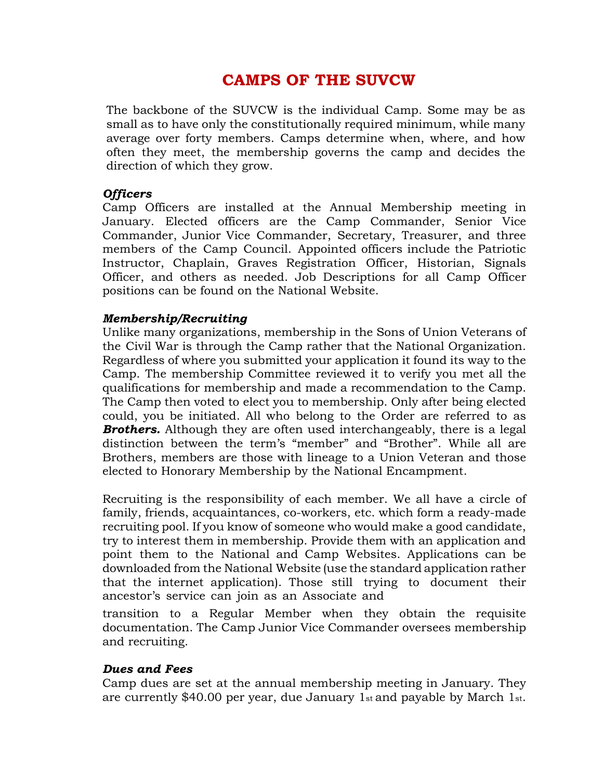# **CAMPS OF THE SUVCW**

The backbone of the SUVCW is the individual Camp. Some may be as small as to have only the constitutionally required minimum, while many average over forty members. Camps determine when, where, and how often they meet, the membership governs the camp and decides the direction of which they grow.

#### *Officers*

Camp Officers are installed at the Annual Membership meeting in January. Elected officers are the Camp Commander, Senior Vice Commander, Junior Vice Commander, Secretary, Treasurer, and three members of the Camp Council. Appointed officers include the Patriotic Instructor, Chaplain, Graves Registration Officer, Historian, Signals Officer, and others as needed. Job Descriptions for all Camp Officer positions can be found on the National Website.

#### *Membership/Recruiting*

Unlike many organizations, membership in the Sons of Union Veterans of the Civil War is through the Camp rather that the National Organization. Regardless of where you submitted your application it found its way to the Camp. The membership Committee reviewed it to verify you met all the qualifications for membership and made a recommendation to the Camp. The Camp then voted to elect you to membership. Only after being elected could, you be initiated. All who belong to the Order are referred to as **Brothers.** Although they are often used interchangeably, there is a legal distinction between the term's "member" and "Brother". While all are Brothers, members are those with lineage to a Union Veteran and those elected to Honorary Membership by the National Encampment.

Recruiting is the responsibility of each member. We all have a circle of family, friends, acquaintances, co-workers, etc. which form a ready-made recruiting pool. If you know of someone who would make a good candidate, try to interest them in membership. Provide them with an application and point them to the National and Camp Websites. Applications can be downloaded from the National Website (use the standard application rather that the internet application). Those still trying to document their ancestor's service can join as an Associate and

transition to a Regular Member when they obtain the requisite documentation. The Camp Junior Vice Commander oversees membership and recruiting.

#### *Dues and Fees*

Camp dues are set at the annual membership meeting in January. They are currently \$40.00 per year, due January 1st and payable by March 1st.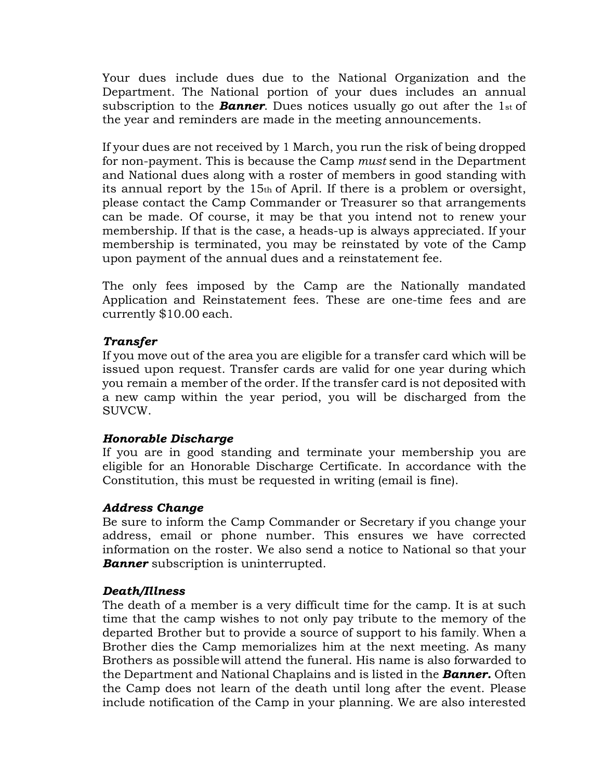Your dues include dues due to the National Organization and the Department. The National portion of your dues includes an annual subscription to the *Banner*. Dues notices usually go out after the 1st of the year and reminders are made in the meeting announcements.

If your dues are not received by 1 March, you run the risk of being dropped for non-payment. This is because the Camp *must* send in the Department and National dues along with a roster of members in good standing with its annual report by the 15th of April. If there is a problem or oversight, please contact the Camp Commander or Treasurer so that arrangements can be made. Of course, it may be that you intend not to renew your membership. If that is the case, a heads-up is always appreciated. If your membership is terminated, you may be reinstated by vote of the Camp upon payment of the annual dues and a reinstatement fee.

The only fees imposed by the Camp are the Nationally mandated Application and Reinstatement fees. These are one-time fees and are currently \$10.00 each.

## *Transfer*

If you move out of the area you are eligible for a transfer card which will be issued upon request. Transfer cards are valid for one year during which you remain a member of the order. If the transfer card is not deposited with a new camp within the year period, you will be discharged from the SUVCW.

## *Honorable Discharge*

If you are in good standing and terminate your membership you are eligible for an Honorable Discharge Certificate. In accordance with the Constitution, this must be requested in writing (email is fine).

## *Address Change*

Be sure to inform the Camp Commander or Secretary if you change your address, email or phone number. This ensures we have corrected information on the roster. We also send a notice to National so that your *Banner* subscription is uninterrupted.

# *Death/Illness*

The death of a member is a very difficult time for the camp. It is at such time that the camp wishes to not only pay tribute to the memory of the departed Brother but to provide a source of support to his family. When a Brother dies the Camp memorializes him at the next meeting. As many Brothers as possiblewill attend the funeral. His name is also forwarded to the Department and National Chaplains and is listed in the *Banner.* Often the Camp does not learn of the death until long after the event. Please include notification of the Camp in your planning. We are also interested